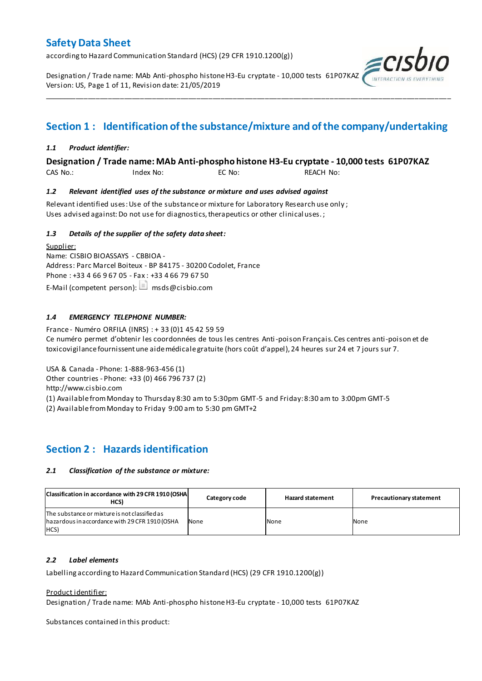according to Hazard Communication Standard (HCS) (29 CFR 1910.1200(g))

Designation / Trade name: MAb Anti-phospho histone H3-Eu cryptate - 10,000 tests 61P07KAZ Version: US, Page 1 of 11, Revision date: 21/05/2019



# **Section 1 : Identification of the substance/mixture and of the company/undertaking**

\_\_\_\_\_\_\_\_\_\_\_\_\_\_\_\_\_\_\_\_\_\_\_\_\_\_\_\_\_\_\_\_\_\_\_\_\_\_\_\_\_\_\_\_\_\_\_\_\_\_\_\_\_\_\_\_\_\_\_\_\_\_\_\_\_\_\_\_\_\_\_\_\_\_\_\_\_\_\_\_\_\_\_\_\_\_\_\_\_\_\_\_\_\_\_\_\_\_\_\_\_

### *1.1 Product identifier:*

### **Designation / Trade name: MAb Anti-phospho histone H3-Eu cryptate - 10,000 tests 61P07KAZ**

CAS No.: Index No: EC No: REACH No:

### *1.2 Relevant identified uses of the substance or mixture and uses advised against*

Relevant identified uses: Use of the substance or mixture for Laboratory Research use only ; Uses advised against: Do not use for diagnostics, therapeutics or other clinical uses.;

### *1.3 Details of the supplier of the safety data sheet:*

Supplier: Name: CISBIO BIOASSAYS - CBBIOA - Address: Parc Marcel Boiteux - BP 84175 - 30200 Codolet, France Phone : +33 4 66 9 67 05 - Fax : +33 4 66 79 67 50 E-Mail (competent person):  $\Box$  msds@cisbio.com

### *1.4 EMERGENCY TELEPHONE NUMBER:*

France - Numéro ORFILA (INRS) : + 33 (0)1 45 42 59 59 Ce numéro permet d'obtenir les coordonnées de tous les centres Anti-poison Français. Ces centres anti-poison et de toxicovigilance fournissent une aide médicale gratuite (hors coût d'appel), 24 heures sur 24 et 7 jours sur 7.

USA & Canada - Phone: 1-888-963-456 (1)

Other countries - Phone: +33 (0) 466 796 737 (2)

http://www.cisbio.com

(1) Available from Monday to Thursday 8:30 am to 5:30pm GMT-5 and Friday: 8:30 am to 3:00pm GMT-5

(2) Available from Monday to Friday 9:00 am to 5:30 pm GMT+2

## **Section 2 : Hazards identification**

### *2.1 Classification of the substance or mixture:*

| Classification in accordance with 29 CFR 1910 (OSHA<br>HCS)                                             | Category code | <b>Hazard statement</b> | <b>Precautionary statement</b> |
|---------------------------------------------------------------------------------------------------------|---------------|-------------------------|--------------------------------|
| The substance or mixture is not classified as<br>hazardous in accordance with 29 CFR 1910 (OSHA<br>HCS) | None          | None                    | None                           |

### *2.2 Label elements*

Labelling according to Hazard Communication Standard (HCS) (29 CFR 1910.1200(g))

### Product identifier:

Designation / Trade name: MAb Anti-phospho histone H3-Eu cryptate - 10,000 tests 61P07KAZ

Substances contained in this product: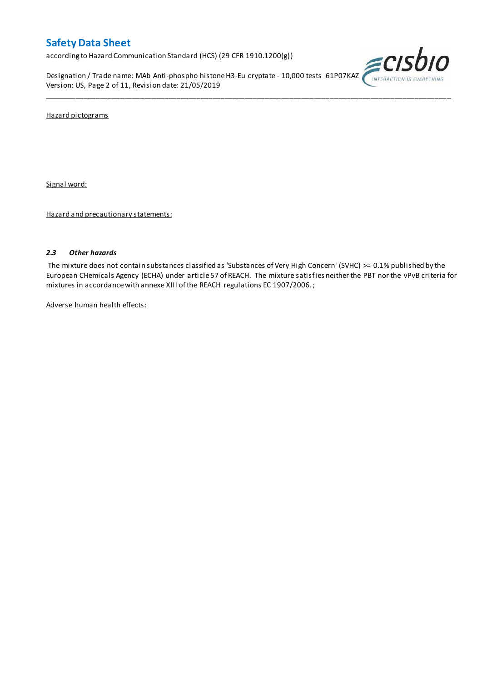according to Hazard Communication Standard (HCS) (29 CFR 1910.1200(g))

Designation / Trade name: MAb Anti-phospho histone H3-Eu cryptate - 10,000 tests 61P07KAZ Version: US, Page 2 of 11, Revision date: 21/05/2019



Hazard pictograms

Signal word:

Hazard and precautionary statements:

### *2.3 Other hazards*

The mixture does not contain substances classified as 'Substances of Very High Concern' (SVHC) >= 0.1% published by the European CHemicals Agency (ECHA) under article 57 of REACH. The mixture satisfies neither the PBT nor the vPvB criteria for mixtures in accordance with annexe XIII of the REACH regulations EC 1907/2006. ;

\_\_\_\_\_\_\_\_\_\_\_\_\_\_\_\_\_\_\_\_\_\_\_\_\_\_\_\_\_\_\_\_\_\_\_\_\_\_\_\_\_\_\_\_\_\_\_\_\_\_\_\_\_\_\_\_\_\_\_\_\_\_\_\_\_\_\_\_\_\_\_\_\_\_\_\_\_\_\_\_\_\_\_\_\_\_\_\_\_\_\_\_\_\_\_\_\_\_\_\_\_

Adverse human health effects: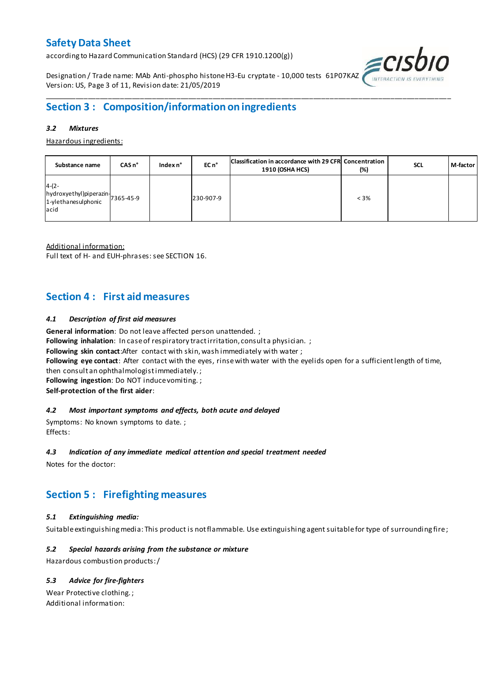according to Hazard Communication Standard (HCS) (29 CFR 1910.1200(g))

Designation / Trade name: MAb Anti-phospho histone H3-Eu cryptate - 10,000 tests 61P07KAZ Version: US, Page 3 of 11, Revision date: 21/05/2019



# **Section 3 : Composition/information on ingredients**

### *3.2 Mixtures*

Hazardous ingredients:

| Substance name                                                               | CAS <sub>n</sub> ° | Index $n^{\circ}$ | EC n <sup>o</sup> | Classification in accordance with 29 CFR Concentration<br>1910 (OSHA HCS) | $(\%)$  | <b>SCL</b> | M-factor |
|------------------------------------------------------------------------------|--------------------|-------------------|-------------------|---------------------------------------------------------------------------|---------|------------|----------|
| $4-(2-$<br>hydroxyethyl)piperazin-<br>1-ylethanesulphonic 7365-45-9<br>lacid |                    |                   | 230-907-9         |                                                                           | $< 3\%$ |            |          |

\_\_\_\_\_\_\_\_\_\_\_\_\_\_\_\_\_\_\_\_\_\_\_\_\_\_\_\_\_\_\_\_\_\_\_\_\_\_\_\_\_\_\_\_\_\_\_\_\_\_\_\_\_\_\_\_\_\_\_\_\_\_\_\_\_\_\_\_\_\_\_\_\_\_\_\_\_\_\_\_\_\_\_\_\_\_\_\_\_\_\_\_\_\_\_\_\_\_\_\_\_

Additional information:

Full text of H- and EUH-phrases: see SECTION 16.

## **Section 4 : First aid measures**

### *4.1 Description of first aid measures*

**General information**: Do not leave affected person unattended. ;

**Following inhalation**: In case of respiratory tract irritation, consult a physician. ;

**Following skin contact**:After contact with skin, wash immediately with water ;

**Following eye contact**: After contact with the eyes, rinse with water with the eyelids open for a sufficient length of time,

then consult an ophthalmologist immediately. ;

**Following ingestion**: Do NOT induce vomiting. ;

**Self-protection of the first aider**:

### *4.2 Most important symptoms and effects, both acute and delayed*

Symptoms: No known symptoms to date. ; Effects:

### *4.3 Indication of any immediate medical attention and special treatment needed*

Notes for the doctor:

## **Section 5 : Firefighting measures**

### *5.1 Extinguishing media:*

Suitable extinguishing media: This product is not flammable. Use extinguishing agent suitable for type of surrounding fire ;

### *5.2 Special hazards arising from the substance or mixture*

Hazardous combustion products:/

### *5.3 Advice for fire-fighters*

Wear Protective clothing. ; Additional information: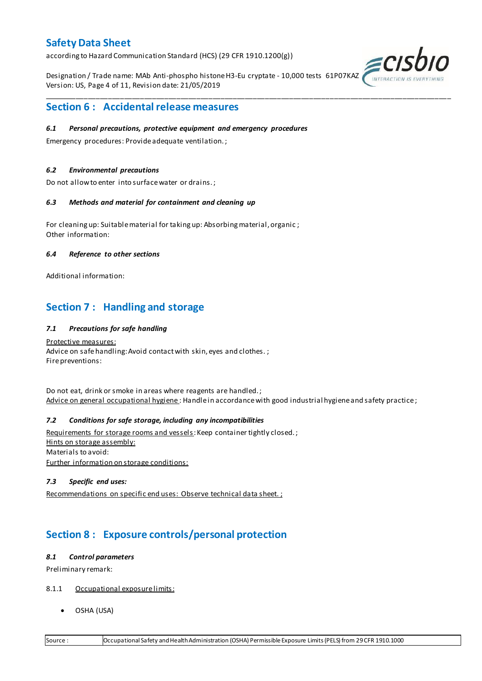according to Hazard Communication Standard (HCS) (29 CFR 1910.1200(g))

Designation / Trade name: MAb Anti-phospho histone H3-Eu cryptate - 10,000 tests 61P07KAZ Version: US, Page 4 of 11, Revision date: 21/05/2019

\_\_\_\_\_\_\_\_\_\_\_\_\_\_\_\_\_\_\_\_\_\_\_\_\_\_\_\_\_\_\_\_\_\_\_\_\_\_\_\_\_\_\_\_\_\_\_\_\_\_\_\_\_\_\_\_\_\_\_\_\_\_\_\_\_\_\_\_\_\_\_\_\_\_\_\_\_\_\_\_\_\_\_\_\_\_\_\_\_\_\_\_\_\_\_\_\_\_\_\_\_



### **Section 6 : Accidental release measures**

### *6.1 Personal precautions, protective equipment and emergency procedures*

Emergency procedures: Provide adequate ventilation. ;

### *6.2 Environmental precautions*

Do not allow to enter into surface water or drains. ;

### *6.3 Methods and material for containment and cleaning up*

For cleaning up: Suitable material for taking up: Absorbing material, organic ; Other information:

### *6.4 Reference to other sections*

Additional information:

## **Section 7 : Handling and storage**

### *7.1 Precautions for safe handling*

Protective measures: Advice on safe handling: Avoid contact with skin, eyes and clothes.; Fire preventions:

Do not eat, drink or smoke in areas where reagents are handled. ; Advice on general occupational hygiene: Handle in accordance with good industrial hygiene and safety practice;

### *7.2 Conditions for safe storage, including any incompatibilities*

Requirements for storage rooms and vessels: Keep container tightly closed.; Hints on storage assembly: Materials to avoid: Further information on storage conditions:

### *7.3 Specific end uses:*

Recommendations on specific end uses: Observe technical data sheet. ;

## **Section 8 : Exposure controls/personal protection**

### *8.1 Control parameters*

Preliminary remark:

- 8.1.1 Occupational exposure limits:
	- OSHA (USA)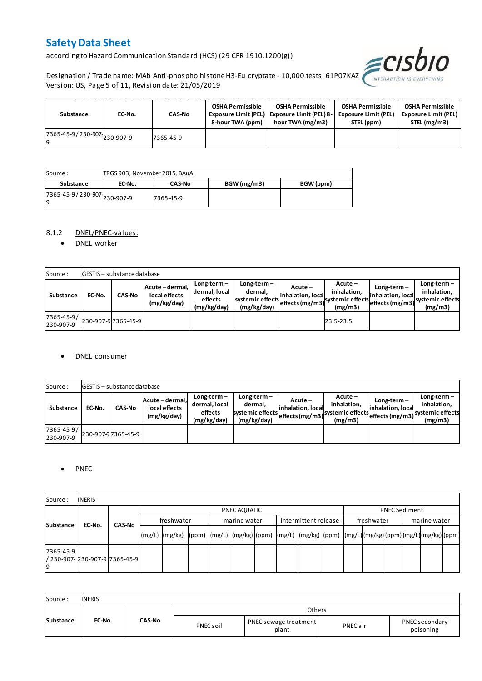according to Hazard Communication Standard (HCS) (29 CFR 1910.1200(g))



Designation / Trade name: MAb Anti-phospho histone H3-Eu cryptate - 10,000 tests 61P07KAZ Version: US, Page 5 of 11, Revision date: 21/05/2019

| Substance                                  | EC-No. | <b>CAS-No</b> | <b>OSHA Permissible</b><br>8-hour TWA (ppm) | <b>OSHA Permissible</b><br>Exposure Limit (PEL)   Exposure Limit (PEL) 8-<br>hour TWA (mg/m3) | <b>OSHA Permissible</b><br><b>Exposure Limit (PEL)</b><br>STEL (ppm) | <b>OSHA Permissible</b><br><b>Exposure Limit (PEL)</b><br>STEL (mg/m3) |
|--------------------------------------------|--------|---------------|---------------------------------------------|-----------------------------------------------------------------------------------------------|----------------------------------------------------------------------|------------------------------------------------------------------------|
| r7365-45-9/230-907-230-907-9<br><b>l</b> q |        | 7365-45-9     |                                             |                                                                                               |                                                                      |                                                                        |

| Source :                           | TRGS 903, November 2015, BAuA |               |             |           |
|------------------------------------|-------------------------------|---------------|-------------|-----------|
| Substance                          | EC-No.                        | <b>CAS-No</b> | BGW (mg/m3) | BGW (ppm) |
| 7365-45-9 / 230-907 230-907-9<br>g |                               | 7365-45-9     |             |           |

### 8.1.2 DNEL/PNEC-values:

• DNEL worker

| Source:                 |        | <b>GESTIS</b> - substance database |                                                 |                                                          |                                                             |                              |                                                                                                            |                                    |                                         |
|-------------------------|--------|------------------------------------|-------------------------------------------------|----------------------------------------------------------|-------------------------------------------------------------|------------------------------|------------------------------------------------------------------------------------------------------------|------------------------------------|-----------------------------------------|
| Substance               | EC-No. | <b>CAS-No</b>                      | Acute - dermal,<br>local effects<br>(mg/kg/day) | $Long-term -$<br>dermal, local<br>effects<br>(mg/kg/day) | $Long-term -$<br>dermal.<br>systemic effects<br>(mg/kg/day) | Acute –<br>inhalation, local | $Acute -$<br>inhalation.<br>effects (mg/m3) <sup>systemic</sup> effects (mg/m3)systemic effects<br>(mg/m3) | $Long-term -$<br>inhalation, local | $Long-term -$<br>inhalation.<br>(mg/m3) |
| 7365-45-9/<br>230-907-9 |        | 230-907-9 7365-45-9                |                                                 |                                                          |                                                             |                              | 23.5-23.5                                                                                                  |                                    |                                         |

### DNEL consumer

| Source:                 |        | GESTIS - substance database |                                                 |                                                          |                                                             |                               |                                                                                  |                                    |                                         |
|-------------------------|--------|-----------------------------|-------------------------------------------------|----------------------------------------------------------|-------------------------------------------------------------|-------------------------------|----------------------------------------------------------------------------------|------------------------------------|-----------------------------------------|
| Substance               | EC-No. | <b>CAS-No</b>               | Acute - dermal.<br>local effects<br>(mg/kg/day) | $Long-term -$<br>dermal, local<br>effects<br>(mg/kg/day) | $Long-term -$<br>dermal,<br>systemic effects<br>(mg/kg/day) | Acute –<br>linhalation. local | $Acute -$<br>inhalation.<br>systemic effects (mg/m3) systemic effects<br>(mg/m3) | $Long-term -$<br>inhalation. local | $Long-term -$<br>inhalation.<br>(mg/m3) |
| 7365-45-9/<br>230-907-9 |        | 230-907-97365-45-9          |                                                 |                                                          |                                                             |                               |                                                                                  |                                    |                                         |

### • PNEC

| Source:         | <b>INERIS</b>                  |               |        |                                                                                                          |  |  |              |  |                      |  |            |  |                      |              |  |  |  |
|-----------------|--------------------------------|---------------|--------|----------------------------------------------------------------------------------------------------------|--|--|--------------|--|----------------------|--|------------|--|----------------------|--------------|--|--|--|
|                 |                                |               |        | PNEC AQUATIC                                                                                             |  |  |              |  |                      |  |            |  | <b>PNEC Sediment</b> |              |  |  |  |
|                 | EC-No.                         | <b>CAS-No</b> |        | freshwater                                                                                               |  |  | marine water |  | intermittent release |  | freshwater |  |                      | marine water |  |  |  |
| Substance       |                                |               | (mg/L) | mg/kg)  (ppm)  (mg/L)  (mg/kg)  (ppm)  (mg/L)  (mg/kg)  (ppm)  (mg/L) (mg/kg) (ppm) (mg/L) (mg/kg) (ppm) |  |  |              |  |                      |  |            |  |                      |              |  |  |  |
| 7365-45-9<br>19 | / 230-907- 230-907-9 7365-45-9 |               |        |                                                                                                          |  |  |              |  |                      |  |            |  |                      |              |  |  |  |

| Source:          | <b>INERIS</b> |               |           |                                |          |                             |
|------------------|---------------|---------------|-----------|--------------------------------|----------|-----------------------------|
|                  |               |               |           | Others                         |          |                             |
| <b>Substance</b> | EC-No.        | <b>CAS-No</b> | PNEC soil | PNEC sewage treatment<br>plant | PNEC air | PNEC secondary<br>poisoning |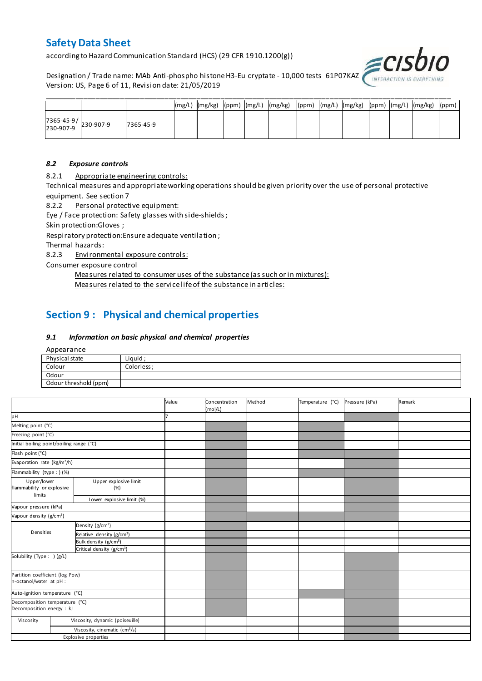according to Hazard Communication Standard (HCS) (29 CFR 1910.1200(g))

Designation / Trade name: MAb Anti-phospho histone H3-Eu cryptate - 10,000 tests 61P07KAZ Version: US, Page 6 of 11, Revision date: 21/05/2019



|                                                                                       |           |  |  | (mg/L)  (mg/kg)  (ppm)  (mg/L)  (mg/kg)  (ppm)  (mg/L)  (mg/kg)  (ppm)  (mg/L)  (mg/kg)  (ppm) |  |  |  |  |
|---------------------------------------------------------------------------------------|-----------|--|--|------------------------------------------------------------------------------------------------|--|--|--|--|
| $\begin{array}{ c c c c }\n 7365-45-9 & & 230-907-9 \\ 230-907-9 & & & \n\end{array}$ | 7365-45-9 |  |  |                                                                                                |  |  |  |  |

### *8.2 Exposure controls*

8.2.1 Appropriate engineering controls:

Technical measures and appropriate working operations should be given priority over the use of personal protective equipment. See section 7

8.2.2 Personal protective equipment:

Eye / Face protection: Safety glasses with side-shields ;

Skin protection:Gloves ;

Respiratory protection:Ensure adequate ventilation ;

Thermal hazards:

8.2.3 Environmental exposure controls:

Consumer exposure control

Measures related to consumer uses of the substance (as such or in mixtures):

Measures related to the service life of the substance in articles:

# **Section 9 : Physical and chemical properties**

### *9.1 Information on basic physical and chemical properties*

**Appearance** 

| Physical state        | Liguid      |
|-----------------------|-------------|
| Colour                | Colorless : |
| Odour                 |             |
| Odour threshold (ppm) |             |

|                                                             |                                                                          |                                           | Value | Concentration<br>(mol/L) | Method | Temperature (°C) | Pressure (kPa) | Remark |
|-------------------------------------------------------------|--------------------------------------------------------------------------|-------------------------------------------|-------|--------------------------|--------|------------------|----------------|--------|
| pH                                                          |                                                                          |                                           |       |                          |        |                  |                |        |
| Melting point (°C)                                          |                                                                          |                                           |       |                          |        |                  |                |        |
| Freezing point (°C)                                         |                                                                          |                                           |       |                          |        |                  |                |        |
| Initial boiling point/boiling range (°C)                    |                                                                          |                                           |       |                          |        |                  |                |        |
| Flash point (°C)                                            |                                                                          |                                           |       |                          |        |                  |                |        |
| Evaporation rate (kg/m <sup>2</sup> /h)                     |                                                                          |                                           |       |                          |        |                  |                |        |
| Flammability (type : ) (%)                                  |                                                                          |                                           |       |                          |        |                  |                |        |
|                                                             | Upper explosive limit<br>Upper/lower<br>flammability or explosive<br>(%) |                                           |       |                          |        |                  |                |        |
| limits<br>Lower explosive limit (%)                         |                                                                          |                                           |       |                          |        |                  |                |        |
| Vapour pressure (kPa)                                       |                                                                          |                                           |       |                          |        |                  |                |        |
| Vapour density (g/cm <sup>3</sup> )                         |                                                                          |                                           |       |                          |        |                  |                |        |
|                                                             |                                                                          | Density (g/cm <sup>3</sup> )              |       |                          |        |                  |                |        |
| Densities                                                   |                                                                          | Relative density (g/cm <sup>3</sup> )     |       |                          |        |                  |                |        |
|                                                             |                                                                          | Bulk density (g/cm <sup>3</sup> )         |       |                          |        |                  |                |        |
|                                                             |                                                                          | Critical density (g/cm <sup>3</sup> )     |       |                          |        |                  |                |        |
| Solubility (Type: ) (g/L)                                   |                                                                          |                                           |       |                          |        |                  |                |        |
| Partition coefficient (log Pow)<br>n-octanol/water at pH :  |                                                                          |                                           |       |                          |        |                  |                |        |
| Auto-ignition temperature (°C)                              |                                                                          |                                           |       |                          |        |                  |                |        |
| Decomposition temperature (°C)<br>Decomposition energy : kJ |                                                                          |                                           |       |                          |        |                  |                |        |
| Viscosity                                                   |                                                                          | Viscosity, dynamic (poiseuille)           |       |                          |        |                  |                |        |
|                                                             |                                                                          | Viscosity, cinematic (cm <sup>3</sup> /s) |       |                          |        |                  |                |        |
|                                                             |                                                                          | <b>Explosive properties</b>               |       |                          |        |                  |                |        |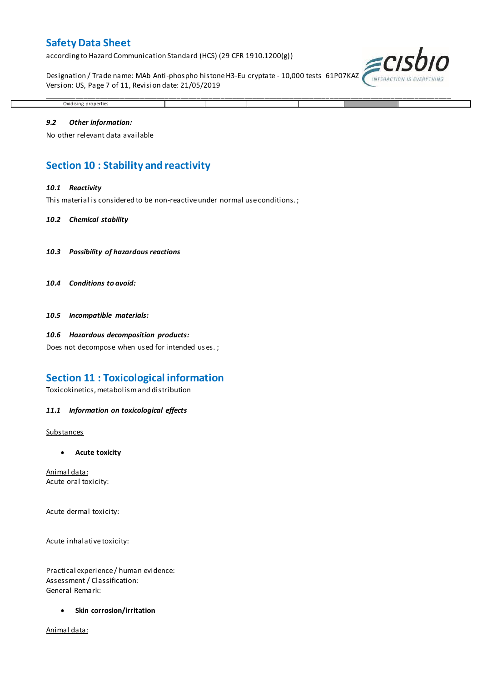according to Hazard Communication Standard (HCS) (29 CFR 1910.1200(g))

Designation / Trade name: MAb Anti-phospho histone H3-Eu cryptate - 10,000 tests 61P07KAZ Version: US, Page 7 of 11, Revision date: 21/05/2019

\_\_\_\_\_\_\_\_\_\_\_\_\_\_\_\_\_\_\_\_\_\_\_\_\_\_\_\_\_\_\_\_\_\_\_\_\_\_\_\_\_\_\_\_\_\_\_\_\_\_\_\_\_\_\_\_\_\_\_\_\_\_\_\_\_\_\_\_\_\_\_\_\_\_\_\_\_\_\_\_\_\_\_\_\_\_\_\_\_\_\_\_\_\_\_\_\_\_\_\_\_



## Oxidising properties

#### *9.2 Other information:*

No other relevant data available

## **Section 10 : Stability and reactivity**

#### *10.1 Reactivity*

This material is considered to be non-reactive under normal use conditions. ;

#### *10.2 Chemical stability*

- *10.3 Possibility of hazardous reactions*
- *10.4 Conditions to avoid:*

*10.5 Incompatible materials:*

#### *10.6 Hazardous decomposition products:*

Does not decompose when used for intended us es. ;

### **Section 11 : Toxicological information**

Toxicokinetics, metabolism and distribution

#### *11.1 Information on toxicological effects*

#### **Substances**

**Acute toxicity**

Animal data: Acute oral toxicity:

Acute dermal toxicity:

Acute inhalative toxicity:

Practical experience / human evidence: Assessment / Classification: General Remark:

**Skin corrosion/irritation**

Animal data: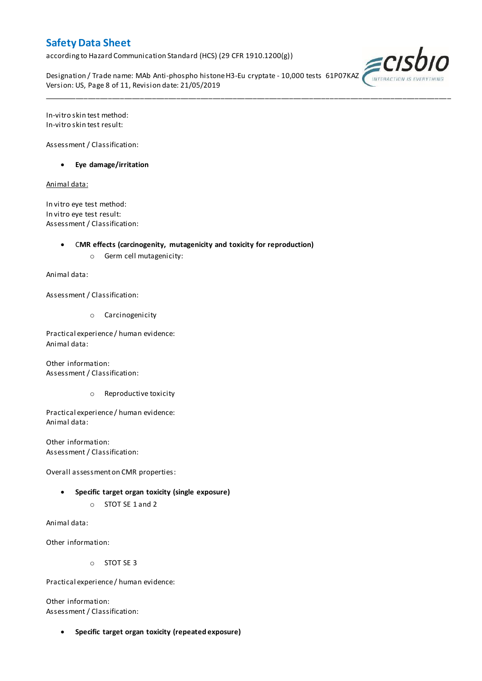according to Hazard Communication Standard (HCS) (29 CFR 1910.1200(g))

Designation / Trade name: MAb Anti-phospho histone H3-Eu cryptate - 10,000 tests 61P07KAZ Version: US, Page 8 of 11, Revision date: 21/05/2019

\_\_\_\_\_\_\_\_\_\_\_\_\_\_\_\_\_\_\_\_\_\_\_\_\_\_\_\_\_\_\_\_\_\_\_\_\_\_\_\_\_\_\_\_\_\_\_\_\_\_\_\_\_\_\_\_\_\_\_\_\_\_\_\_\_\_\_\_\_\_\_\_\_\_\_\_\_\_\_\_\_\_\_\_\_\_\_\_\_\_\_\_\_\_\_\_\_\_\_\_\_



In-vitro skin test method: In-vitro skin test result:

Assessment / Classification:

**Eye damage/irritation**

Animal data:

In vitro eye test method: In vitro eye test result: Assessment / Classification:

C**MR effects (carcinogenity, mutagenicity and toxicity for reproduction)**

o Germ cell mutagenicity:

Animal data:

Assessment / Classification:

o Carcinogenicity

Practical experience / human evidence: Animal data:

Other information: Assessment / Classification:

o Reproductive toxicity

Practical experience / human evidence: Animal data:

Other information: Assessment / Classification:

Overall assessment on CMR properties:

- **Specific target organ toxicity (single exposure)**
	- o STOT SE 1 and 2

Animal data:

Other information:

o STOT SE 3

Practical experience / human evidence:

Other information: Assessment / Classification:

**Specific target organ toxicity (repeated exposure)**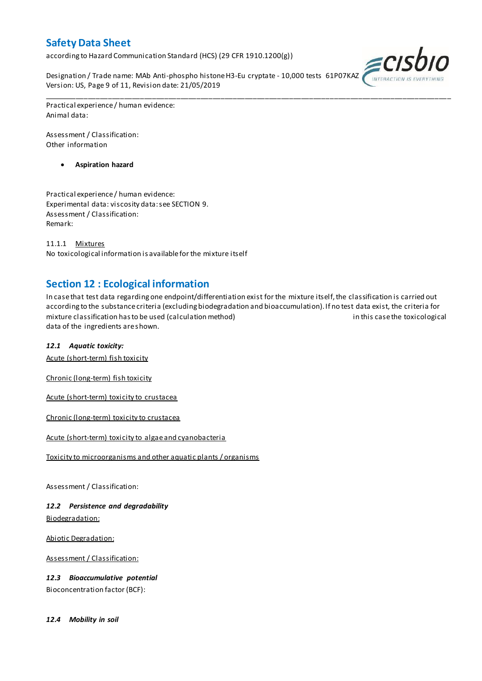according to Hazard Communication Standard (HCS) (29 CFR 1910.1200(g))

Designation / Trade name: MAb Anti-phospho histone H3-Eu cryptate - 10,000 tests 61P07KAZ Version: US, Page 9 of 11, Revision date: 21/05/2019



Practical experience / human evidence: Animal data:

Assessment / Classification: Other information

**Aspiration hazard**

Practical experience / human evidence: Experimental data: viscosity data: see SECTION 9. Assessment / Classification: Remark:

11.1.1 Mixtures No toxicological information is available for the mixture itself

## **Section 12 : Ecological information**

In case that test data regarding one endpoint/differentiation exist for the mixture itself, the classification is carried out according to the substance criteria (excluding biodegradation and bioaccumulation). If no test data exist, the criteria for mixture classification has to be used (calculation method) in this case the toxicological data of the ingredients are shown.

\_\_\_\_\_\_\_\_\_\_\_\_\_\_\_\_\_\_\_\_\_\_\_\_\_\_\_\_\_\_\_\_\_\_\_\_\_\_\_\_\_\_\_\_\_\_\_\_\_\_\_\_\_\_\_\_\_\_\_\_\_\_\_\_\_\_\_\_\_\_\_\_\_\_\_\_\_\_\_\_\_\_\_\_\_\_\_\_\_\_\_\_\_\_\_\_\_\_\_\_\_

### *12.1 Aquatic toxicity:*

Acute (short-term) fish toxicity

Chronic (long-term) fish toxicity

Acute (short-term) toxicity to crustacea

Chronic (long-term) toxicity to crustacea

Acute (short-term) toxicity to algae and cyanobacteria

Toxicity to microorganisms and other aquatic plants / organisms

Assessment / Classification:

*12.2 Persistence and degradability* Biodegradation:

Abiotic Degradation:

Assessment / Classification:

*12.3 Bioaccumulative potential* Bioconcentration factor (BCF):

*12.4 Mobility in soil*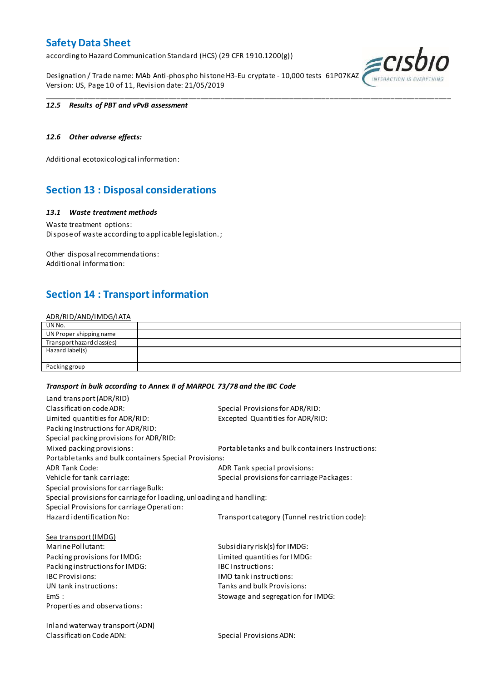according to Hazard Communication Standard (HCS) (29 CFR 1910.1200(g))

Designation / Trade name: MAb Anti-phospho histone H3-Eu cryptate - 10,000 tests 61P07KAZ Version: US, Page 10 of 11, Revision date: 21/05/2019

\_\_\_\_\_\_\_\_\_\_\_\_\_\_\_\_\_\_\_\_\_\_\_\_\_\_\_\_\_\_\_\_\_\_\_\_\_\_\_\_\_\_\_\_\_\_\_\_\_\_\_\_\_\_\_\_\_\_\_\_\_\_\_\_\_\_\_\_\_\_\_\_\_\_\_\_\_\_\_\_\_\_\_\_\_\_\_\_\_\_\_\_\_\_\_\_\_\_\_\_\_



### *12.5 Results of PBT and vPvB assessment*

### *12.6 Other adverse effects:*

Additional ecotoxicological information:

## **Section 13 : Disposal considerations**

### *13.1 Waste treatment methods*

Waste treatment options: Dispose of waste according to applicable legislation. ;

Other disposal recommendations: Additional information:

## **Section 14 : Transport information**

### ADR/RID/AND/IMDG/IATA

| UN No.                     |  |
|----------------------------|--|
| UN Proper shipping name    |  |
| Transport hazard class(es) |  |
| Hazard label(s)            |  |
|                            |  |
| Packing group              |  |

#### *Transport in bulk according to Annex II of MARPOL 73/78 and the IBC Code*

| Land transport (ADR/RID)                                             |                                                  |
|----------------------------------------------------------------------|--------------------------------------------------|
| Classification code ADR:                                             | Special Provisions for ADR/RID:                  |
| Limited quantities for ADR/RID:                                      | Excepted Quantities for ADR/RID:                 |
| Packing Instructions for ADR/RID:                                    |                                                  |
| Special packing provisions for ADR/RID:                              |                                                  |
| Mixed packing provisions:                                            | Portable tanks and bulk containers Instructions: |
| Portable tanks and bulk containers Special Provisions:               |                                                  |
| <b>ADR Tank Code:</b>                                                | ADR Tank special provisions:                     |
| Vehicle for tank carriage:                                           | Special provisions for carriage Packages:        |
| Special provisions for carriage Bulk:                                |                                                  |
| Special provisions for carriage for loading, unloading and handling: |                                                  |
| Special Provisions for carriage Operation:                           |                                                  |
| Hazard identification No:                                            | Transport category (Tunnel restriction code):    |
| <b>Sea transport (IMDG)</b>                                          |                                                  |
| Marine Pollutant:                                                    | Subsidiary risk(s) for IMDG:                     |
| Packing provisions for IMDG:                                         | Limited quantities for IMDG:                     |
| Packing instructions for IMDG:                                       | <b>IBC Instructions:</b>                         |
| <b>IBC Provisions:</b>                                               | <b>IMO</b> tank instructions:                    |
| UN tank instructions:                                                | Tanks and bulk Provisions:                       |
| EmS:                                                                 | Stowage and segregation for IMDG:                |
| Properties and observations:                                         |                                                  |
| <b>Inland waterway transport (ADN)</b>                               |                                                  |
| Classification Code ADN:                                             | Special Provisions ADN:                          |